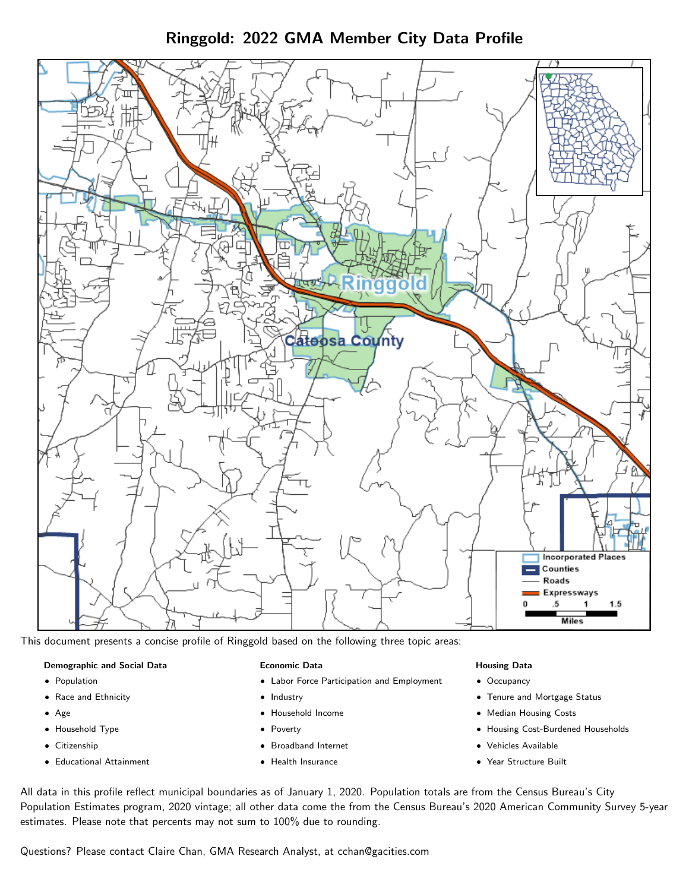Ringgold: 2022 GMA Member City Data Profile



This document presents a concise profile of Ringgold based on the following three topic areas:

#### Demographic and Social Data

- **•** Population
- Race and Ethnicity
- Age
- Household Type
- **Citizenship**
- Educational Attainment

#### Economic Data

- Labor Force Participation and Employment
- Industry
- Household Income
- Poverty
- Broadband Internet
- Health Insurance

#### Housing Data

- Occupancy
- Tenure and Mortgage Status
- Median Housing Costs
- Housing Cost-Burdened Households
- Vehicles Available
- Year Structure Built

All data in this profile reflect municipal boundaries as of January 1, 2020. Population totals are from the Census Bureau's City Population Estimates program, 2020 vintage; all other data come the from the Census Bureau's 2020 American Community Survey 5-year estimates. Please note that percents may not sum to 100% due to rounding.

Questions? Please contact Claire Chan, GMA Research Analyst, at [cchan@gacities.com.](mailto:cchan@gacities.com)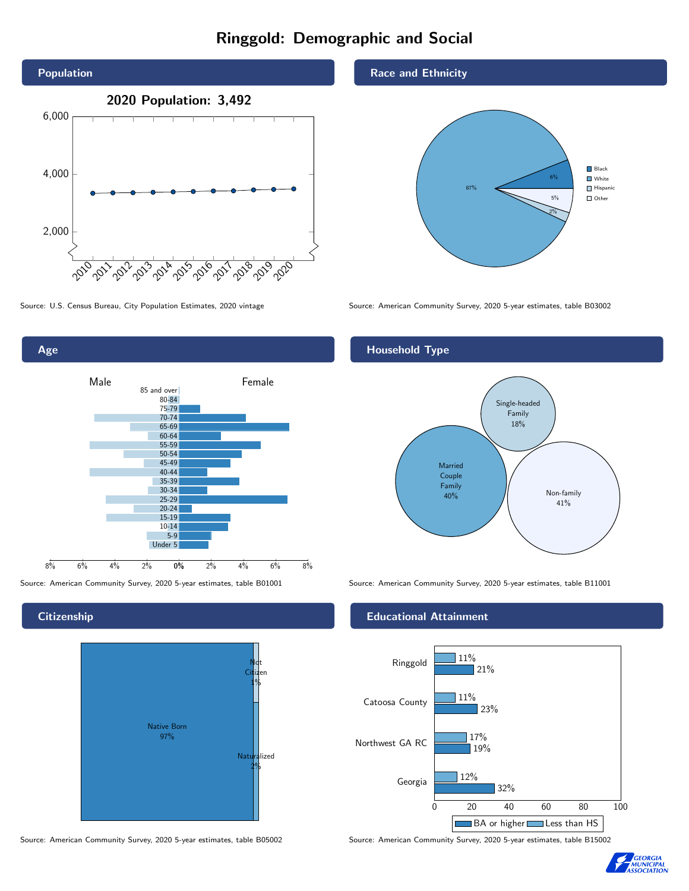## Ringgold: Demographic and Social





**Citizenship** 

Age



Source: American Community Survey, 2020 5-year estimates, table B05002 Source: American Community Survey, 2020 5-year estimates, table B15002

Race and Ethnicity



Source: U.S. Census Bureau, City Population Estimates, 2020 vintage Source: American Community Survey, 2020 5-year estimates, table B03002

### Household Type



Source: American Community Survey, 2020 5-year estimates, table B01001 Source: American Community Survey, 2020 5-year estimates, table B11001

### Educational Attainment



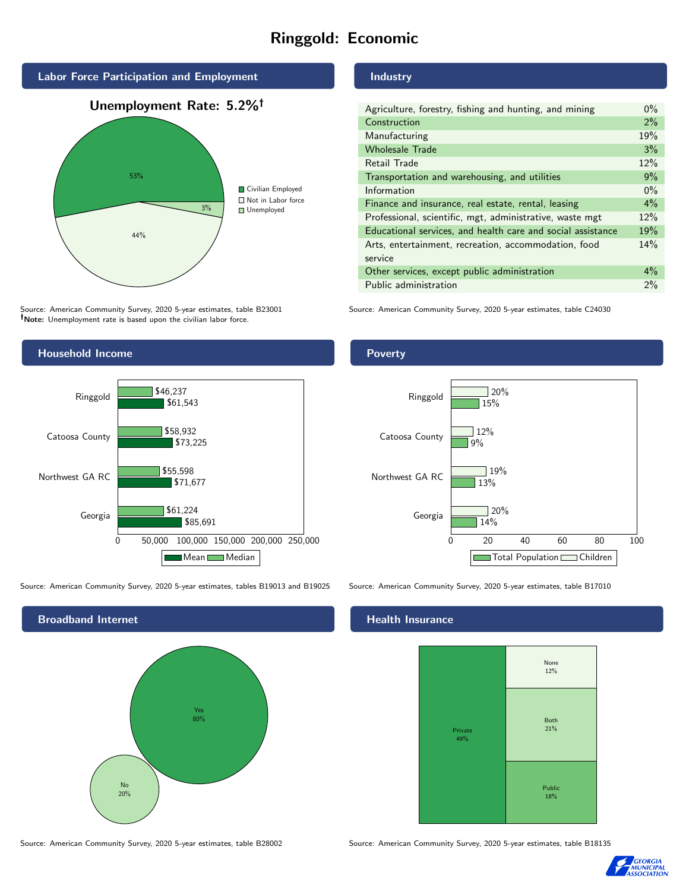## Ringgold: Economic



Source: American Community Survey, 2020 5-year estimates, table B23001 Note: Unemployment rate is based upon the civilian labor force.

## Household Income 0 50,000 100,000 150,000 200,000 250,000 Georgia Northwest GA RC Catoosa County Ringgold \$85,691 \$71,677 \$73,225 \$61,543 \$61,224 \$55,598 \$58,932 \$46,237 Mean Median

Source: American Community Survey, 2020 5-year estimates, tables B19013 and B19025 Source: American Community Survey, 2020 5-year estimates, table B17010

Broadband Internet No 20% Yes 80%

Source: American Community Survey, 2020 5-year estimates, table B28002 Source: American Community Survey, 2020 5-year estimates, table B18135

## Industry

| Agriculture, forestry, fishing and hunting, and mining      | $0\%$ |
|-------------------------------------------------------------|-------|
| Construction                                                | 2%    |
| Manufacturing                                               | 19%   |
| <b>Wholesale Trade</b>                                      | 3%    |
| Retail Trade                                                | 12%   |
| Transportation and warehousing, and utilities               | 9%    |
| Information                                                 | $0\%$ |
| Finance and insurance, real estate, rental, leasing         | $4\%$ |
| Professional, scientific, mgt, administrative, waste mgt    | 12%   |
| Educational services, and health care and social assistance | 19%   |
| Arts, entertainment, recreation, accommodation, food        | 14%   |
| service                                                     |       |
| Other services, except public administration                | $4\%$ |
| Public administration                                       | 2%    |

Source: American Community Survey, 2020 5-year estimates, table C24030

# Poverty



#### Health Insurance